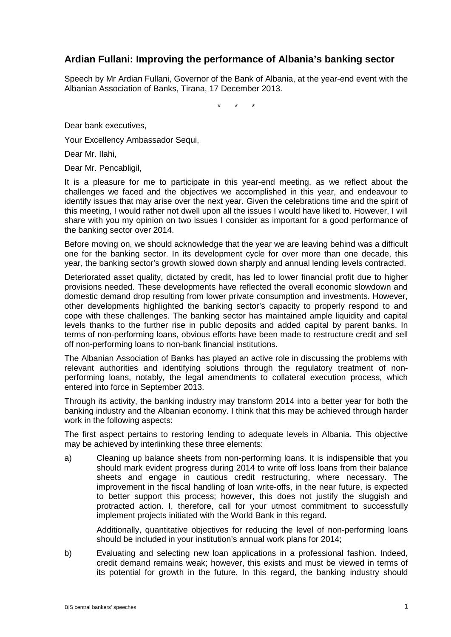## **Ardian Fullani: Improving the performance of Albania's banking sector**

Speech by Mr Ardian Fullani, Governor of the Bank of Albania, at the year-end event with the Albanian Association of Banks, Tirana, 17 December 2013.

\* \* \*

Dear bank executives,

Your Excellency Ambassador Sequi,

Dear Mr. Ilahi,

Dear Mr. Pencabligil,

It is a pleasure for me to participate in this year-end meeting, as we reflect about the challenges we faced and the objectives we accomplished in this year, and endeavour to identify issues that may arise over the next year. Given the celebrations time and the spirit of this meeting, I would rather not dwell upon all the issues I would have liked to. However, I will share with you my opinion on two issues I consider as important for a good performance of the banking sector over 2014.

Before moving on, we should acknowledge that the year we are leaving behind was a difficult one for the banking sector. In its development cycle for over more than one decade, this year, the banking sector's growth slowed down sharply and annual lending levels contracted.

Deteriorated asset quality, dictated by credit, has led to lower financial profit due to higher provisions needed. These developments have reflected the overall economic slowdown and domestic demand drop resulting from lower private consumption and investments. However, other developments highlighted the banking sector's capacity to properly respond to and cope with these challenges. The banking sector has maintained ample liquidity and capital levels thanks to the further rise in public deposits and added capital by parent banks. In terms of non-performing loans, obvious efforts have been made to restructure credit and sell off non-performing loans to non-bank financial institutions.

The Albanian Association of Banks has played an active role in discussing the problems with relevant authorities and identifying solutions through the regulatory treatment of nonperforming loans, notably, the legal amendments to collateral execution process, which entered into force in September 2013.

Through its activity, the banking industry may transform 2014 into a better year for both the banking industry and the Albanian economy. I think that this may be achieved through harder work in the following aspects:

The first aspect pertains to restoring lending to adequate levels in Albania. This objective may be achieved by interlinking these three elements:

a) Cleaning up balance sheets from non-performing loans. It is indispensible that you should mark evident progress during 2014 to write off loss loans from their balance sheets and engage in cautious credit restructuring, where necessary. The improvement in the fiscal handling of loan write-offs, in the near future, is expected to better support this process; however, this does not justify the sluggish and protracted action. I, therefore, call for your utmost commitment to successfully implement projects initiated with the World Bank in this regard.

Additionally, quantitative objectives for reducing the level of non-performing loans should be included in your institution's annual work plans for 2014;

b) Evaluating and selecting new loan applications in a professional fashion. Indeed, credit demand remains weak; however, this exists and must be viewed in terms of its potential for growth in the future. In this regard, the banking industry should